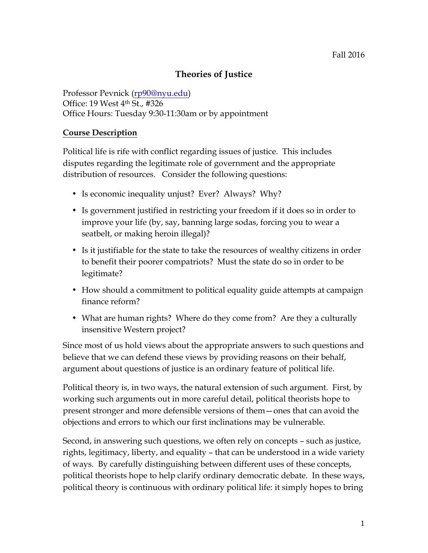# **Theories of Justice**

Professor Pevnick (rp90@nyu.edu) Office: 19 West 4th St., #326 Office Hours: Tuesday 9:30-11:30am or by appointment

## **Course Description**

Political life is rife with conflict regarding issues of justice. This includes disputes regarding the legitimate role of government and the appropriate distribution of resources. Consider the following questions:

- Is economic inequality unjust? Ever? Always? Why?
- Is government justified in restricting your freedom if it does so in order to improve your life (by, say, banning large sodas, forcing you to wear a seatbelt, or making heroin illegal)?
- Is it justifiable for the state to take the resources of wealthy citizens in order to benefit their poorer compatriots? Must the state do so in order to be legitimate?
- How should a commitment to political equality guide attempts at campaign finance reform?
- What are human rights? Where do they come from? Are they a culturally insensitive Western project?

Since most of us hold views about the appropriate answers to such questions and believe that we can defend these views by providing reasons on their behalf, argument about questions of justice is an ordinary feature of political life.

Political theory is, in two ways, the natural extension of such argument. First, by working such arguments out in more careful detail, political theorists hope to present stronger and more defensible versions of them—ones that can avoid the objections and errors to which our first inclinations may be vulnerable.

Second, in answering such questions, we often rely on concepts – such as justice, rights, legitimacy, liberty, and equality – that can be understood in a wide variety of ways. By carefully distinguishing between different uses of these concepts, political theorists hope to help clarify ordinary democratic debate. In these ways, political theory is continuous with ordinary political life: it simply hopes to bring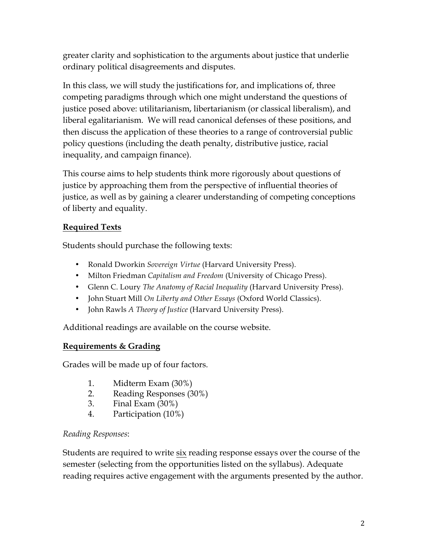greater clarity and sophistication to the arguments about justice that underlie ordinary political disagreements and disputes.

In this class, we will study the justifications for, and implications of, three competing paradigms through which one might understand the questions of justice posed above: utilitarianism, libertarianism (or classical liberalism), and liberal egalitarianism. We will read canonical defenses of these positions, and then discuss the application of these theories to a range of controversial public policy questions (including the death penalty, distributive justice, racial inequality, and campaign finance).

This course aims to help students think more rigorously about questions of justice by approaching them from the perspective of influential theories of justice, as well as by gaining a clearer understanding of competing conceptions of liberty and equality.

## **Required Texts**

Students should purchase the following texts:

- Ronald Dworkin *Sovereign Virtue* (Harvard University Press).
- Milton Friedman *Capitalism and Freedom* (University of Chicago Press).
- Glenn C. Loury *The Anatomy of Racial Inequality* (Harvard University Press).
- John Stuart Mill *On Liberty and Other Essays* (Oxford World Classics).
- John Rawls *A Theory of Justice* (Harvard University Press).

Additional readings are available on the course website.

# **Requirements & Grading**

Grades will be made up of four factors.

- 1. Midterm Exam (30%)
- 2. Reading Responses (30%)
- 3. Final Exam (30%)
- 4. Participation (10%)

# *Reading Responses*:

Students are required to write six reading response essays over the course of the semester (selecting from the opportunities listed on the syllabus). Adequate reading requires active engagement with the arguments presented by the author.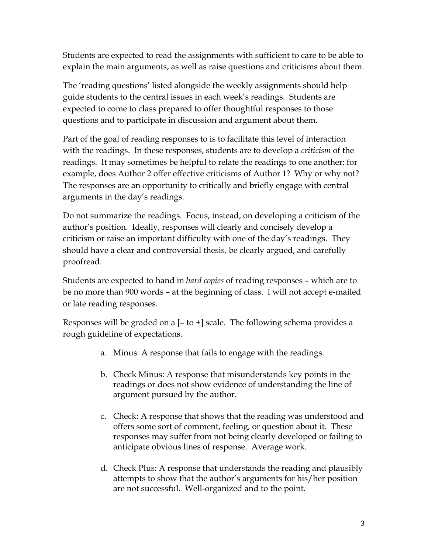Students are expected to read the assignments with sufficient to care to be able to explain the main arguments, as well as raise questions and criticisms about them.

The 'reading questions' listed alongside the weekly assignments should help guide students to the central issues in each week's readings. Students are expected to come to class prepared to offer thoughtful responses to those questions and to participate in discussion and argument about them.

Part of the goal of reading responses to is to facilitate this level of interaction with the readings. In these responses, students are to develop a *criticism* of the readings. It may sometimes be helpful to relate the readings to one another: for example, does Author 2 offer effective criticisms of Author 1? Why or why not? The responses are an opportunity to critically and briefly engage with central arguments in the day's readings.

Do not summarize the readings. Focus, instead, on developing a criticism of the author's position. Ideally, responses will clearly and concisely develop a criticism or raise an important difficulty with one of the day's readings. They should have a clear and controversial thesis, be clearly argued, and carefully proofread.

Students are expected to hand in *hard copies* of reading responses – which are to be no more than 900 words – at the beginning of class. I will not accept e-mailed or late reading responses.

Responses will be graded on a  $[-\text{to}+]$  scale. The following schema provides a rough guideline of expectations.

- a. Minus: A response that fails to engage with the readings.
- b. Check Minus: A response that misunderstands key points in the readings or does not show evidence of understanding the line of argument pursued by the author.
- c. Check: A response that shows that the reading was understood and offers some sort of comment, feeling, or question about it. These responses may suffer from not being clearly developed or failing to anticipate obvious lines of response. Average work.
- d. Check Plus: A response that understands the reading and plausibly attempts to show that the author's arguments for his/her position are not successful. Well-organized and to the point.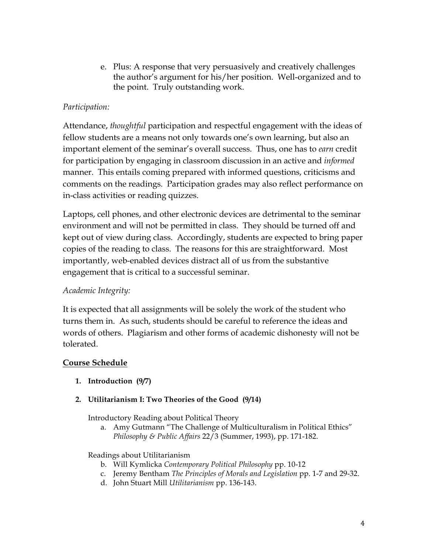e. Plus: A response that very persuasively and creatively challenges the author's argument for his/her position. Well-organized and to the point. Truly outstanding work.

## *Participation:*

Attendance, *thoughtful* participation and respectful engagement with the ideas of fellow students are a means not only towards one's own learning, but also an important element of the seminar's overall success. Thus, one has to *earn* credit for participation by engaging in classroom discussion in an active and *informed* manner. This entails coming prepared with informed questions, criticisms and comments on the readings. Participation grades may also reflect performance on in-class activities or reading quizzes.

Laptops, cell phones, and other electronic devices are detrimental to the seminar environment and will not be permitted in class. They should be turned off and kept out of view during class. Accordingly, students are expected to bring paper copies of the reading to class. The reasons for this are straightforward. Most importantly, web-enabled devices distract all of us from the substantive engagement that is critical to a successful seminar.

## *Academic Integrity:*

It is expected that all assignments will be solely the work of the student who turns them in. As such, students should be careful to reference the ideas and words of others. Plagiarism and other forms of academic dishonesty will not be tolerated.

## **Course Schedule**

- **1. Introduction (9/7)**
- **2. Utilitarianism I: Two Theories of the Good (9/14)**

Introductory Reading about Political Theory

a. Amy Gutmann "The Challenge of Multiculturalism in Political Ethics" *Philosophy & Public Affairs* 22/3 (Summer, 1993), pp. 171-182.

## Readings about Utilitarianism

- b. Will Kymlicka *Contemporary Political Philosophy* pp. 10-12
- c. Jeremy Bentham *The Principles of Morals and Legislation* pp. 1-7 and 29-32.
- d. John Stuart Mill *Utilitarianism* pp. 136-143.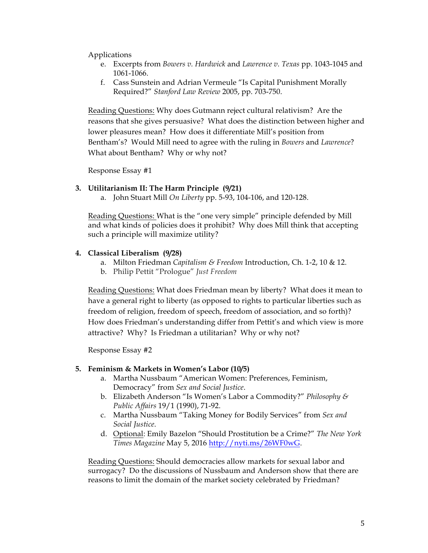Applications

- e. Excerpts from *Bowers v. Hardwick* and *Lawrence v. Texas* pp. 1043-1045 and 1061-1066.
- f. Cass Sunstein and Adrian Vermeule "Is Capital Punishment Morally Required?" *Stanford Law Review* 2005, pp. 703-750.

Reading Questions: Why does Gutmann reject cultural relativism? Are the reasons that she gives persuasive? What does the distinction between higher and lower pleasures mean? How does it differentiate Mill's position from Bentham's? Would Mill need to agree with the ruling in *Bowers* and *Lawrence*? What about Bentham? Why or why not?

Response Essay #1

#### **3. Utilitarianism II: The Harm Principle (9/21)**

a. John Stuart Mill *On Liberty* pp. 5-93, 104-106, and 120-128.

Reading Questions: What is the "one very simple" principle defended by Mill and what kinds of policies does it prohibit? Why does Mill think that accepting such a principle will maximize utility?

#### **4. Classical Liberalism (9/28)**

- a. Milton Friedman *Capitalism & Freedom* Introduction, Ch. 1-2, 10 & 12.
- b. Philip Pettit "Prologue" *Just Freedom*

Reading Questions: What does Friedman mean by liberty? What does it mean to have a general right to liberty (as opposed to rights to particular liberties such as freedom of religion, freedom of speech, freedom of association, and so forth)? How does Friedman's understanding differ from Pettit's and which view is more attractive? Why? Is Friedman a utilitarian? Why or why not?

Response Essay #2

#### **5. Feminism & Markets in Women's Labor (10/5)**

- a. Martha Nussbaum "American Women: Preferences, Feminism, Democracy" from *Sex and Social Justice*.
- b. Elizabeth Anderson "Is Women's Labor a Commodity?" *Philosophy & Public Affairs* 19/1 (1990), 71-92.
- c. Martha Nussbaum "Taking Money for Bodily Services" from *Sex and Social Justice*.
- d. Optional: Emily Bazelon "Should Prostitution be a Crime?" *The New York Times Magazine* May 5, 2016 http://nyti.ms/26WF0wG.

Reading Questions: Should democracies allow markets for sexual labor and surrogacy? Do the discussions of Nussbaum and Anderson show that there are reasons to limit the domain of the market society celebrated by Friedman?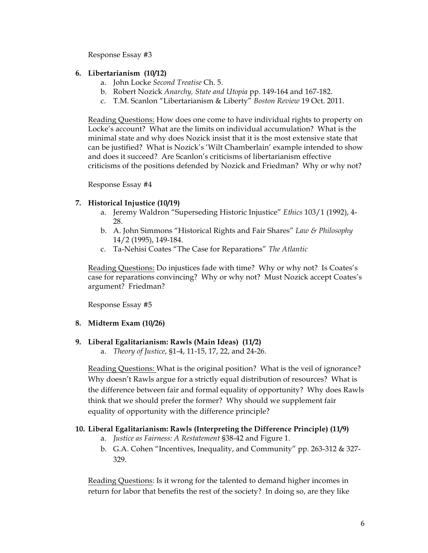Response Essay #3

#### **6. Libertarianism (10/12)**

- a. John Locke *Second Treatise* Ch. 5.
- b. Robert Nozick *Anarchy, State and Utopia* pp. 149-164 and 167-182.
- c. T.M. Scanlon "Libertarianism & Liberty" *Boston Review* 19 Oct. 2011.

Reading Questions: How does one come to have individual rights to property on Locke's account? What are the limits on individual accumulation? What is the minimal state and why does Nozick insist that it is the most extensive state that can be justified? What is Nozick's 'Wilt Chamberlain' example intended to show and does it succeed? Are Scanlon's criticisms of libertarianism effective criticisms of the positions defended by Nozick and Friedman? Why or why not?

Response Essay #4

### **7. Historical Injustice (10/19)**

- a. Jeremy Waldron "Superseding Historic Injustice" *Ethics* 103/1 (1992), 4- 28.
- b. A. John Simmons "Historical Rights and Fair Shares" *Law & Philosophy*  14/2 (1995), 149-184.
- c. Ta-Nehisi Coates "The Case for Reparations" *The Atlantic*

Reading Questions: Do injustices fade with time? Why or why not? Is Coates's case for reparations convincing? Why or why not? Must Nozick accept Coates's argument? Friedman?

Response Essay #5

#### **8. Midterm Exam (10/26)**

#### **9. Liberal Egalitarianism: Rawls (Main Ideas) (11/2)**

a. *Theory of Justice*, §1-4, 11-15, 17, 22, and 24-26.

Reading Questions: What is the original position? What is the veil of ignorance? Why doesn't Rawls argue for a strictly equal distribution of resources? What is the difference between fair and formal equality of opportunity? Why does Rawls think that we should prefer the former? Why should we supplement fair equality of opportunity with the difference principle?

#### **10. Liberal Egalitarianism: Rawls (Interpreting the Difference Principle) (11/9)**

- a. *Justice as Fairness: A Restatement* §38-42 and Figure 1.
- b. G.A. Cohen "Incentives, Inequality, and Community" pp. 263-312 & 327- 329.

Reading Questions: Is it wrong for the talented to demand higher incomes in return for labor that benefits the rest of the society? In doing so, are they like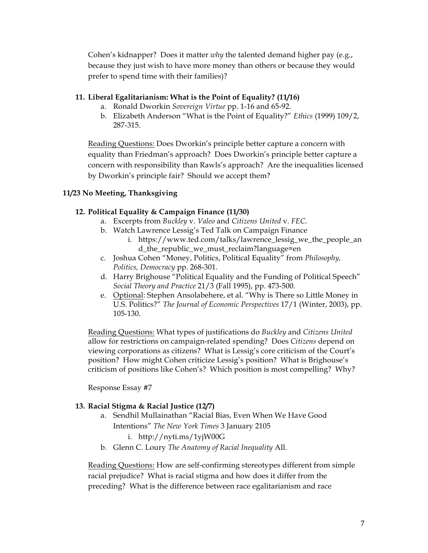Cohen's kidnapper? Does it matter *why* the talented demand higher pay (e.g., because they just wish to have more money than others or because they would prefer to spend time with their families)?

### **11. Liberal Egalitarianism: What is the Point of Equality? (11/16)**

- a. Ronald Dworkin *Sovereign Virtue* pp. 1-16 and 65-92.
- b. Elizabeth Anderson "What is the Point of Equality?" *Ethics* (1999) 109/2, 287-315.

Reading Questions: Does Dworkin's principle better capture a concern with equality than Friedman's approach? Does Dworkin's principle better capture a concern with responsibility than Rawls's approach? Are the inequalities licensed by Dworkin's principle fair? Should we accept them?

## **11/23 No Meeting, Thanksgiving**

## **12. Political Equality & Campaign Finance (11/30)**

- a. Excerpts from *Buckley* v. *Valeo* and *Citizens United* v. *FEC*.
- b. Watch Lawrence Lessig's Ted Talk on Campaign Finance
	- i. https://www.ted.com/talks/lawrence\_lessig\_we\_the\_people\_an d\_the\_republic\_we\_must\_reclaim?language=en
- c. Joshua Cohen "Money, Politics, Political Equality" from *Philosophy, Politics, Democracy* pp. 268-301.
- d. Harry Brighouse "Political Equality and the Funding of Political Speech" *Social Theory and Practice* 21/3 (Fall 1995), pp. 473-500.
- e. Optional: Stephen Ansolabehere, et al. "Why is There so Little Money in U.S. Politics?" *The Journal of Economic Perspectives* 17/1 (Winter, 2003), pp. 105-130.

Reading Questions: What types of justifications do *Buckley* and *Citizens United*  allow for restrictions on campaign-related spending? Does *Citizens* depend on viewing corporations as citizens? What is Lessig's core criticism of the Court's position? How might Cohen criticize Lessig's position? What is Brighouse's criticism of positions like Cohen's? Which position is most compelling? Why?

Response Essay #7

## **13. Racial Stigma & Racial Justice (12/7)**

- a. Sendhil Mullainathan "Racial Bias, Even When We Have Good Intentions" *The New York Times* 3 January 2105 i. http://nyti.ms/1yjW00G
- b. Glenn C. Loury *The Anatomy of Racial Inequality* All.

Reading Questions: How are self-confirming stereotypes different from simple racial prejudice? What is racial stigma and how does it differ from the preceding? What is the difference between race egalitarianism and race